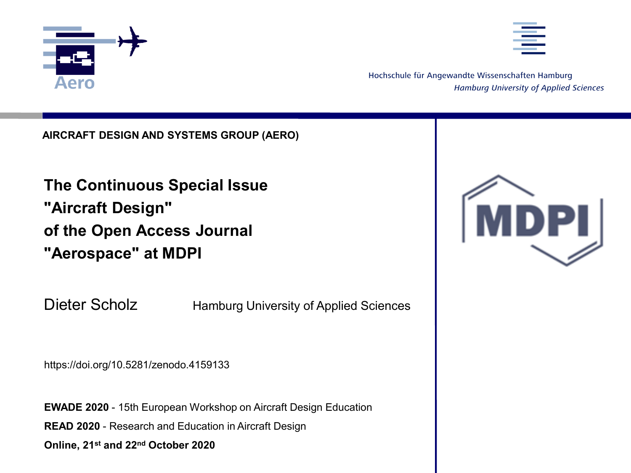



Hochschule für Angewandte Wissenschaften Hamburg **Hamburg University of Applied Sciences** 

**AIRCRAFT DESIGN AND SYSTEMS GROUP (AERO)** 

**The Continuous Special Issue "Aircraft Design" of the Open Access Journal "Aerospace" at MDPI** 

Dieter Scholz Hamburg University of Applied Sciences

https://doi.org/10.5281/zenodo.4159133

**EWADE 2020** - 15th European Workshop on Aircraft Design Education **READ 2020** - Research and Education in Aircraft Design **Online, 21st and 22nd October 2020**

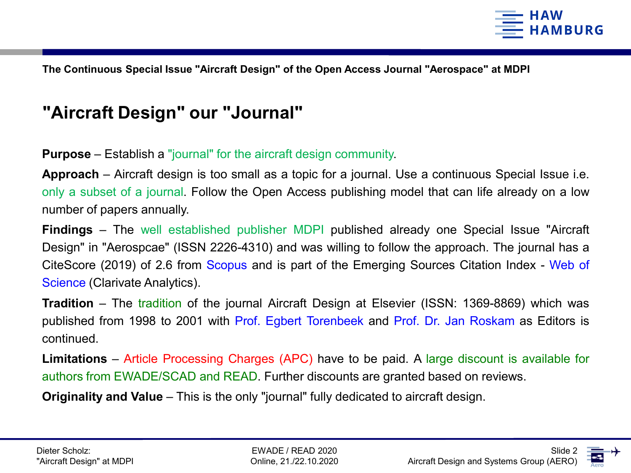

# **"Aircraft Design" our "Journal"**

**Purpose** – Establish a "journal" for the aircraft design community.

**Approach** – Aircraft design is too small as a topic for a journal. Use a continuous Special Issue i.e. only a subset of a journal. Follow the Open Access publishing model that can life already on a low number of papers annually.

**Findings** – The well established publisher MDPI published already one Special Issue "Aircraft Design" in "Aerospcae" (ISSN 2226-4310) and was willing to follow the approach. The journal has a CiteScore (2019) of 2.6 from Scopus and is part of the Emerging Sources Citation Index - Web of Science (Clarivate Analytics).

**Tradition** – The tradition of the journal Aircraft Design at Elsevier (ISSN: 1369-8869) which was published from 1998 to 2001 with Prof. Egbert Torenbeek and Prof. Dr. Jan Roskam as Editors is continued.

**Limitations** – Article Processing Charges (APC) have to be paid. A large discount is available for authors from EWADE/SCAD and READ. Further discounts are granted based on reviews.

**Originality and Value** – This is the only "journal" fully dedicated to aircraft design.

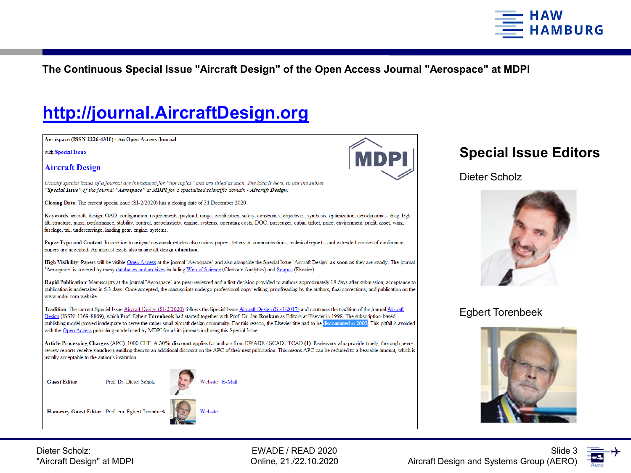

# **http://journal.AircraftDesign.org**

Aerospace (ISSN 2226-4310) - An Open Access Journal

with Special Issue

**Aircraft Design** 

Usually special issues of a journal are introduced for "hot topics" and are titled as such. The idea is here, to use the subset "Special Issue" of the journal "Aerospace" at MDPI for a specialized scientific domain - Aircraft Design.

Closing Date: The current special issue (SI-2/2020) has a closing date of 31 December 2020.

Keywords: aircraft, design, OAD, configuration, requirements, payload, range, certification, safety, constraints, objectives, synthesis, optimization, aerodynamics, drag, highlift, structure, mass, performance, stability, control, aeroelasticity, engine, systems, operating costs, DOC, passenger, cabin, ticket, price, environment, profit, asset, wing, fuselage, tail, undercarriage, landing gear, engine, systems.

Paper Type and Content: In addition to original research articles also review papers, letters or communications, technical reports, and extended version of conference papers are accepted. An interest exists also in aircraft design education.

High Visibility: Papers will be visible Open Access at the journal "Aerospace" and also alongside the Special Issue "Aircraft Design" as soon as they are ready. The journal "Aerospace" is covered by many databases and archives including Web of Science (Clarivate Analytics) and Scopus (Elsevier).

Rapid Publication: Manuscripts at the journal "Aerospace" are peer-reviewed and a first decision provided to authors approximately 18 days after submission; acceptance to publication is undertaken in 6.3 days. Once accepted, the manuscripts undergo professional copy-editing, proofreading by the authors, final corrections, and publication on the www.mdpi.com website.

Tradition: The current Special Issue Aircraft Design (SI-2/2020) follows the Special Issue Aircraft Design (SI-1/2017) and continues the tradition of the journal Aircraft Design (ISSN: 1369-8869), which Prof. Egbert Torenbeek had started together with Prof. Dr. Jan Roskam as Editors at Elsevier in 1998. The subscription-based publishing model proved inadequate to serve the rather small aircraft design community. For this reason, the Elsevier title had to be discontinued in 2002. This pitfall is avoided with the Open Access publishing model used by MDPI for all its journals including this Special Issue.

Article Processing Charges (APC): 1000 CHF. A 30% discount applies for authors from EWADE / SCAD / TCAD (1). Reviewers who provide timely, thorough peerreview reports receive vouchers entitling them to an additional discount on the APC of their next publication. This means APC can be reduced to a bearable amount, which is usually acceptable to the author's institution.

**Guest Editor** 



Honorary Guest Editor Prof. em. Egbert Torenbeek

Prof. Dr. Dieter Scholz



Dieter Scholz:

"Aircraft Design" at MDPI

EWADE / READ 2020 Online, 21./22.10.2020



### **Special Issue Editors**

#### Dieter Scholz



### Egbert Torenbeek



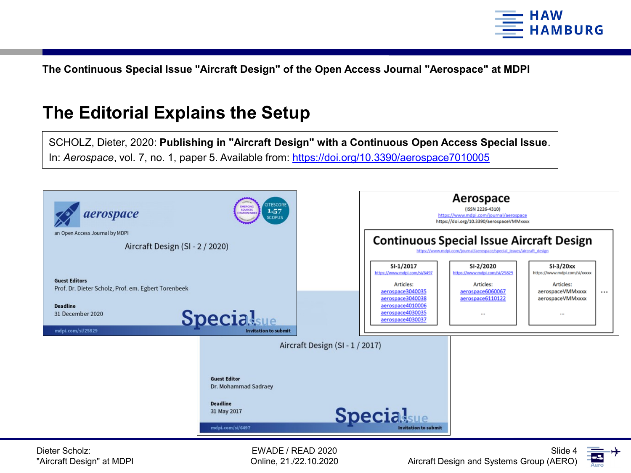

## **The Editorial Explains the Setup**

SCHOLZ, Dieter, 2020: **Publishing in "Aircraft Design" with a Continuous Open Access Special Issue**. In: *Aerospace*, vol. 7, no. 1, paper 5. Available from: https://doi.org/10.3390/aerospace7010005



Dieter Scholz: "Aircraft Design" at MDPI

EWADE / READ 2020 Online, 21./22.10.2020

Aircraft Design and Systems Group (AERO)

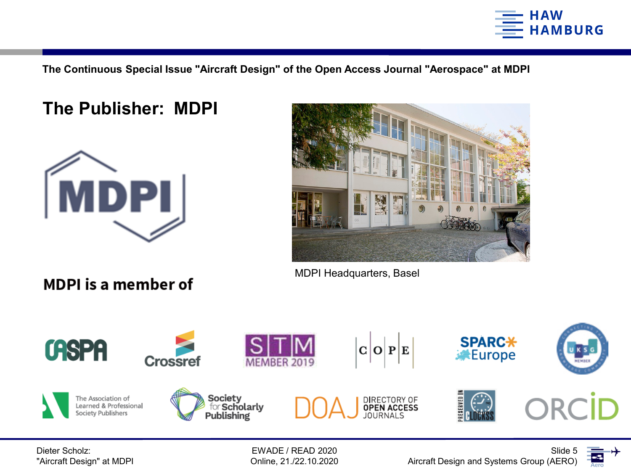

### **The Publisher: MDPI**



**MDPI** is a member of



MDPI Headquarters, Basel



EWADE / READ 2020 Online, 21./22.10.2020

Aircraft Design and Systems Group (AERO)



Slide 5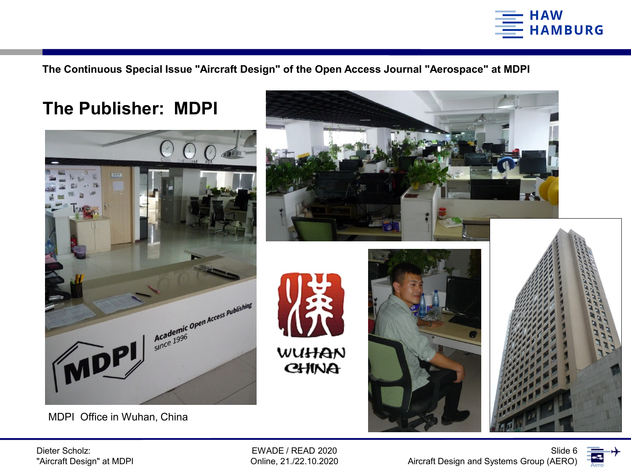





MDPI Office in Wuhan, China



Dieter Scholz: "Aircraft Design" at MDPI

EWADE / READ 2020 Online, 21./22.10.2020

Aircraft Design and Systems Group (AERO)



Slide 6